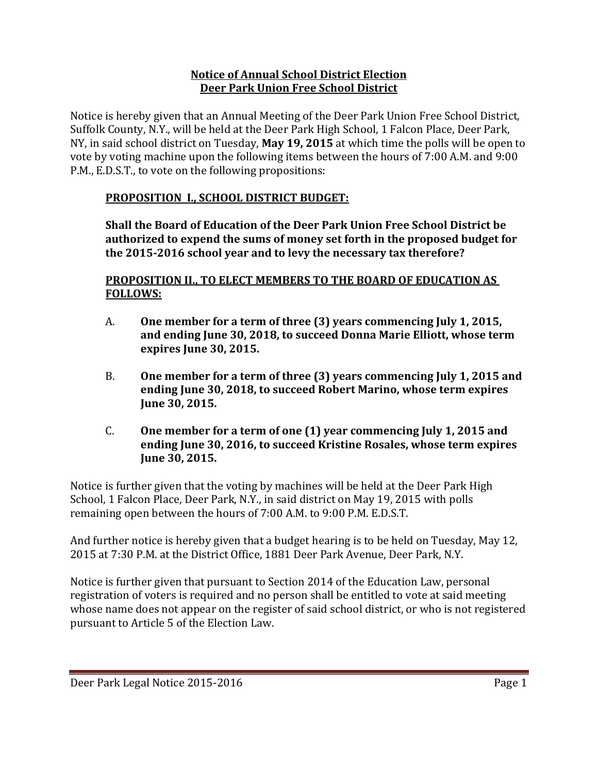### **Notice of Annual School District Election Deer Park Union Free School District**

Notice is hereby given that an Annual Meeting of the Deer Park Union Free School District, Suffolk County, N.Y., will be held at the Deer Park High School, 1 Falcon Place, Deer Park, NY, in said school district on Tuesday, **May 19, 2015** at which time the polls will be open to vote by voting machine upon the following items between the hours of 7:00 A.M. and 9:00 P.M., E.D.S.T., to vote on the following propositions:

# **PROPOSITION I., SCHOOL DISTRICT BUDGET:**

**Shall the Board of Education of the Deer Park Union Free School District be authorized to expend the sums of money set forth in the proposed budget for the 2015‐2016 school year and to levy the necessary tax therefore?**

### **PROPOSITION II., TO ELECT MEMBERS TO THE BOARD OF EDUCATION AS FOLLOWS:**

- A. **One member for a term of three (3) years commencing July 1, 2015, and ending June 30, 2018, to succeed Donna Marie Elliott, whose term expires June 30, 2015.**
- B. **One member for a term of three (3) years commencing July 1, 2015 and ending June 30, 2018, to succeed Robert Marino, whose term expires June 30, 2015.**
- C. **One member for a term of one (1) year commencing July 1, 2015 and ending June 30, 2016, to succeed Kristine Rosales, whose term expires Iune** 30, 2015.

Notice is further given that the voting by machines will be held at the Deer Park High School, 1 Falcon Place, Deer Park, N.Y., in said district on May 19, 2015 with polls remaining open between the hours of 7:00 A.M. to 9:00 P.M. E.D.S.T.

And further notice is hereby given that a budget hearing is to be held on Tuesday, May 12, 2015 at 7:30 P.M. at the District Office, 1881 Deer Park Avenue, Deer Park, N.Y.

Notice is further given that pursuant to Section 2014 of the Education Law, personal registration of voters is required and no person shall be entitled to vote at said meeting whose name does not appear on the register of said school district, or who is not registered pursuant to Article 5 of the Election Law.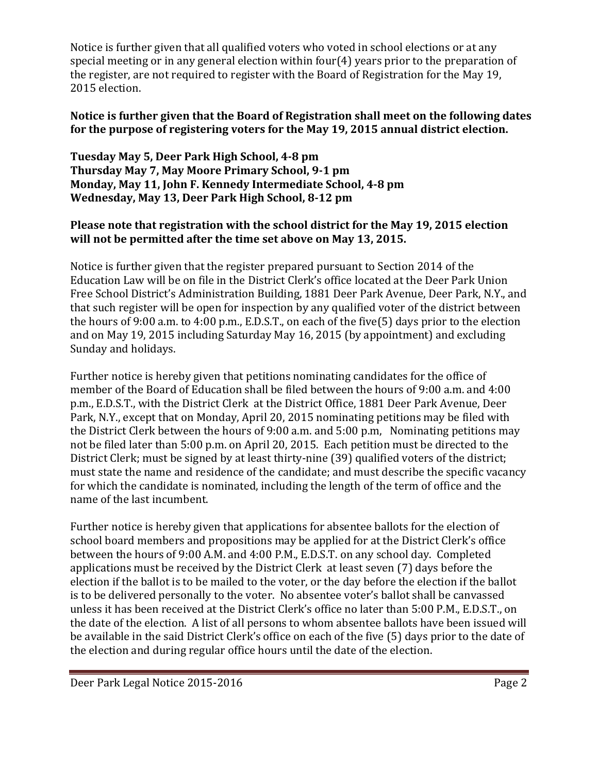Notice is further given that all qualified voters who voted in school elections or at any special meeting or in any general election within four(4) years prior to the preparation of the register, are not required to register with the Board of Registration for the May 19, 2015 election.

# **Notice is further given that the Board of Registration shall meet on the following dates for the purpose of registering voters for the May 19, 2015 annual district election.**

**Tuesday May 5, Deer Park High School, 4‐8 pm Thursday May 7, May Moore Primary School, 9‐1 pm Monday, May 11, John F. Kennedy Intermediate School, 4‐8 pm Wednesday, May 13, Deer Park High School, 8‐12 pm** 

# **Please note that registration with the school district for the May 19, 2015 election will not be permitted after the time set above on May 13, 2015.**

Notice is further given that the register prepared pursuant to Section 2014 of the Education Law will be on file in the District Clerk's office located at the Deer Park Union Free School District's Administration Building, 1881 Deer Park Avenue, Deer Park, N.Y., and that such register will be open for inspection by any qualified voter of the district between the hours of 9:00 a.m. to 4:00 p.m., E.D.S.T., on each of the five(5) days prior to the election and on May 19, 2015 including Saturday May 16, 2015 (by appointment) and excluding Sunday and holidays.

Further notice is hereby given that petitions nominating candidates for the office of member of the Board of Education shall be filed between the hours of 9:00 a.m. and 4:00 p.m., E.D.S.T., with the District Clerk at the District Office, 1881 Deer Park Avenue, Deer Park, N.Y., except that on Monday, April 20, 2015 nominating petitions may be filed with the District Clerk between the hours of 9:00 a.m. and  $5:00$  p.m, Nominating petitions may not be filed later than 5:00 p.m. on April 20, 2015. Each petition must be directed to the District Clerk; must be signed by at least thirty-nine (39) qualified voters of the district; must state the name and residence of the candidate; and must describe the specific vacancy for which the candidate is nominated, including the length of the term of office and the name of the last incumbent.

Further notice is hereby given that applications for absentee ballots for the election of school board members and propositions may be applied for at the District Clerk's office between the hours of 9:00 A.M. and 4:00 P.M., E.D.S.T. on any school day. Completed applications must be received by the District Clerk at least seven (7) days before the election if the ballot is to be mailed to the voter, or the day before the election if the ballot is to be delivered personally to the voter. No absentee voter's ballot shall be canvassed unless it has been received at the District Clerk's office no later than 5:00 P.M., E.D.S.T., on the date of the election. A list of all persons to whom absentee ballots have been issued will be available in the said District Clerk's office on each of the five (5) days prior to the date of the election and during regular office hours until the date of the election.